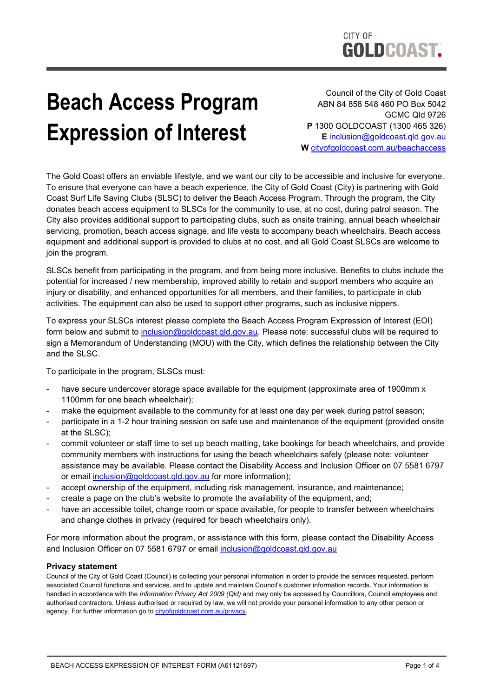## **Beach Access Program Expression of Interest**

Council of the City of Gold Coast ABN 84 858 548 460 PO Box 5042 GCMC Qld 9726 **P** 1300 GOLDCOAST (1300 465 326) **E** [inclusion@goldcoast.qld.gov.au](mailto:inclusion@goldcoast.qld.gov.au)  **W** [cityofgoldcoast.com.au/beachaccess](https://www.goldcoast.qld.gov.au/Services/Supporting-our-community/People-with-disability/Beach-access) 

The Gold Coast offers an enviable lifestyle, and we want our city to be accessible and inclusive for everyone. To ensure that everyone can have a beach experience, the City of Gold Coast (City) is partnering with Gold Coast Surf Life Saving Clubs (SLSC) to deliver the Beach Access Program. Through the program, the City donates beach access equipment to SLSCs for the community to use, at no cost, during patrol season. The City also provides additional support to participating clubs, such as onsite training, annual beach wheelchair servicing, promotion, beach access signage, and life vests to accompany beach wheelchairs. Beach access equipment and additional support is provided to clubs at no cost, and all Gold Coast SLSCs are welcome to join the program.

SLSCs benefit from participating in the program, and from being more inclusive. Benefits to clubs include the potential for increased / new membership, improved ability to retain and support members who acquire an injury or disability, and enhanced opportunities for all members, and their families, to participate in club activities. The equipment can also be used to support other programs, such as inclusive nippers.

To express your SLSCs interest please complete the Beach Access Program Expression of Interest (EOI) form below and submit to inclusion@goldcoast.gld.gov.au. Please note: successful clubs will be required to sign a Memorandum of Understanding (MOU) with the City, which defines the relationship between the City and the SLSC.

To participate in the program, SLSCs must:

- have secure undercover storage space available for the equipment (approximate area of 1900mm x 1100mm for one beach wheelchair);
- make the equipment available to the community for at least one day per week during patrol season;
- participate in a 1-2 hour training session on safe use and maintenance of the equipment (provided onsite at the SLSC);
- commit volunteer or staff time to set up beach matting, take bookings for beach wheelchairs, and provide community members with instructions for using the beach wheelchairs safely (please note: volunteer assistance may be available. Please contact the Disability Access and Inclusion Officer on 07 5581 6797 or email inclusion@goldcoast.gld.gov.au for more information);
- accept ownership of the equipment, including risk management, insurance, and maintenance;
- create a page on the club's website to promote the availability of the equipment, and;
- have an accessible toilet, change room or space available, for people to transfer between wheelchairs and change clothes in privacy (required for beach wheelchairs only).

For more information about the program, or assistance with this form, please contact the Disability Access and Inclusion Officer on 07 5581 6797 or email [inclusion@goldcoast.qld.gov.au](mailto:inclusion@goldcoast.qld.gov.au) 

## **Privacy statement**

Council of the City of Gold Coast (Council) is collecting your personal information in order to provide the services requested, perform associated Council functions and services, and to update and maintain Council's customer information records. Your information is handled in accordance with the *Information Privacy Act 2009 (Qld)* and may only be accessed by Councillors, Council employees and authorised contractors. Unless authorised or required by law, we will not provide your personal information to any other person or agency. For further information go to cityofgoldcoast.com.au/privacy.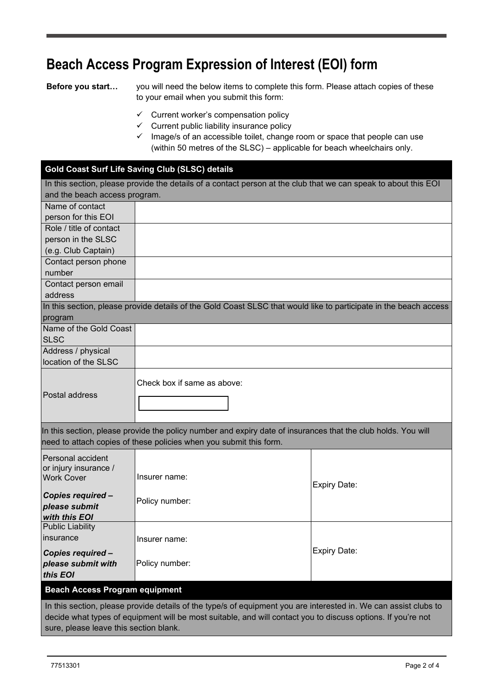## **Beach Access Program Expression of Interest (EOI) form**

**Before you start…** you will need the below items to complete this form. Please attach copies of these to your email when you submit this form:

- $\checkmark$  Current worker's compensation policy
- $\checkmark$  Current public liability insurance policy
- $\checkmark$  Image/s of an accessible toilet, change room or space that people can use (within 50 metres of the SLSC) – applicable for beach wheelchairs only.

## **Gold Coast Surf Life Saving Club (SLSC) details**

| In this section, please provide the details of a contact person at the club that we can speak to about this EOI                                                                     |                                                                                                                   |                     |  |  |  |
|-------------------------------------------------------------------------------------------------------------------------------------------------------------------------------------|-------------------------------------------------------------------------------------------------------------------|---------------------|--|--|--|
| and the beach access program.                                                                                                                                                       |                                                                                                                   |                     |  |  |  |
| Name of contact                                                                                                                                                                     |                                                                                                                   |                     |  |  |  |
| person for this EOI                                                                                                                                                                 |                                                                                                                   |                     |  |  |  |
| Role / title of contact                                                                                                                                                             |                                                                                                                   |                     |  |  |  |
| person in the SLSC                                                                                                                                                                  |                                                                                                                   |                     |  |  |  |
| (e.g. Club Captain)                                                                                                                                                                 |                                                                                                                   |                     |  |  |  |
| Contact person phone                                                                                                                                                                |                                                                                                                   |                     |  |  |  |
| number                                                                                                                                                                              |                                                                                                                   |                     |  |  |  |
| Contact person email                                                                                                                                                                |                                                                                                                   |                     |  |  |  |
| address                                                                                                                                                                             |                                                                                                                   |                     |  |  |  |
|                                                                                                                                                                                     | In this section, please provide details of the Gold Coast SLSC that would like to participate in the beach access |                     |  |  |  |
| program                                                                                                                                                                             |                                                                                                                   |                     |  |  |  |
| Name of the Gold Coast                                                                                                                                                              |                                                                                                                   |                     |  |  |  |
| <b>SLSC</b>                                                                                                                                                                         |                                                                                                                   |                     |  |  |  |
| Address / physical                                                                                                                                                                  |                                                                                                                   |                     |  |  |  |
| location of the SLSC                                                                                                                                                                |                                                                                                                   |                     |  |  |  |
| Postal address                                                                                                                                                                      | Check box if same as above:                                                                                       |                     |  |  |  |
| In this section, please provide the policy number and expiry date of insurances that the club holds. You will<br>need to attach copies of these policies when you submit this form. |                                                                                                                   |                     |  |  |  |
| Personal accident                                                                                                                                                                   |                                                                                                                   |                     |  |  |  |
| or injury insurance /                                                                                                                                                               |                                                                                                                   |                     |  |  |  |
| <b>Work Cover</b>                                                                                                                                                                   | Insurer name:                                                                                                     |                     |  |  |  |
|                                                                                                                                                                                     |                                                                                                                   | <b>Expiry Date:</b> |  |  |  |
| Copies required -<br>please submit                                                                                                                                                  | Policy number:                                                                                                    |                     |  |  |  |
| with this EOI                                                                                                                                                                       |                                                                                                                   |                     |  |  |  |
| <b>Public Liability</b>                                                                                                                                                             |                                                                                                                   |                     |  |  |  |
| insurance                                                                                                                                                                           | Insurer name:                                                                                                     |                     |  |  |  |
|                                                                                                                                                                                     |                                                                                                                   | <b>Expiry Date:</b> |  |  |  |
| Copies required -                                                                                                                                                                   |                                                                                                                   |                     |  |  |  |
| please submit with                                                                                                                                                                  | Policy number:                                                                                                    |                     |  |  |  |
| this EOI                                                                                                                                                                            |                                                                                                                   |                     |  |  |  |
| <b>Beach Access Program equipment</b>                                                                                                                                               |                                                                                                                   |                     |  |  |  |
| In this section, please provide details of the type/s of equipment you are interested in. We can assist clubs to                                                                    |                                                                                                                   |                     |  |  |  |
| decide what types of equipment will be most suitable, and will contact you to discuss options. If you're not                                                                        |                                                                                                                   |                     |  |  |  |
| sure, please leave this section blank.                                                                                                                                              |                                                                                                                   |                     |  |  |  |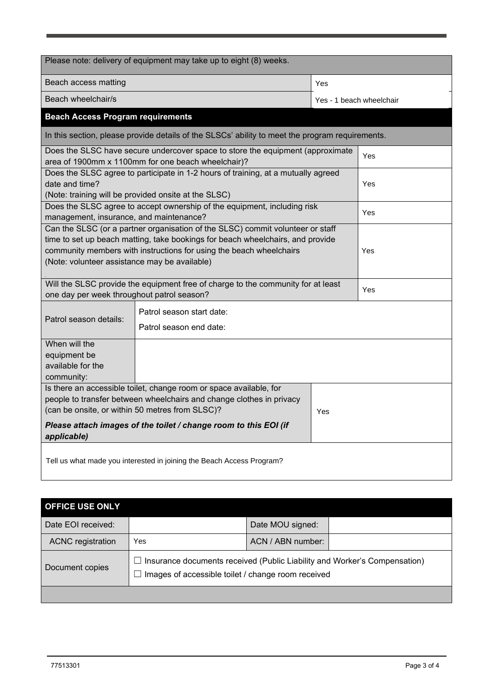| Please note: delivery of equipment may take up to eight (8) weeks.                                                                                                                                                                                                                       |                                          |                          |     |  |  |
|------------------------------------------------------------------------------------------------------------------------------------------------------------------------------------------------------------------------------------------------------------------------------------------|------------------------------------------|--------------------------|-----|--|--|
|                                                                                                                                                                                                                                                                                          |                                          |                          |     |  |  |
| Beach access matting                                                                                                                                                                                                                                                                     |                                          | Yes                      |     |  |  |
| Beach wheelchair/s                                                                                                                                                                                                                                                                       |                                          | Yes - 1 beach wheelchair |     |  |  |
|                                                                                                                                                                                                                                                                                          | <b>Beach Access Program requirements</b> |                          |     |  |  |
| In this section, please provide details of the SLSCs' ability to meet the program requirements.                                                                                                                                                                                          |                                          |                          |     |  |  |
| Does the SLSC have secure undercover space to store the equipment (approximate<br>area of 1900mm x 1100mm for one beach wheelchair)?                                                                                                                                                     |                                          |                          | Yes |  |  |
| Does the SLSC agree to participate in 1-2 hours of training, at a mutually agreed<br>date and time?<br>(Note: training will be provided onsite at the SLSC)                                                                                                                              |                                          |                          | Yes |  |  |
| Does the SLSC agree to accept ownership of the equipment, including risk<br>management, insurance, and maintenance?                                                                                                                                                                      |                                          |                          | Yes |  |  |
| Can the SLSC (or a partner organisation of the SLSC) commit volunteer or staff<br>time to set up beach matting, take bookings for beach wheelchairs, and provide<br>community members with instructions for using the beach wheelchairs<br>(Note: volunteer assistance may be available) |                                          |                          | Yes |  |  |
| Will the SLSC provide the equipment free of charge to the community for at least<br>one day per week throughout patrol season?                                                                                                                                                           |                                          |                          | Yes |  |  |
| Patrol season start date:<br>Patrol season details:<br>Patrol season end date:                                                                                                                                                                                                           |                                          |                          |     |  |  |
| When will the<br>equipment be<br>available for the<br>community:                                                                                                                                                                                                                         |                                          |                          |     |  |  |
| Is there an accessible toilet, change room or space available, for<br>people to transfer between wheelchairs and change clothes in privacy<br>(can be onsite, or within 50 metres from SLSC)?<br>Yes<br>Please attach images of the toilet / change room to this EOI (if<br>applicable)  |                                          |                          |     |  |  |
| Tell us what made you interested in joining the Beach Access Program?                                                                                                                                                                                                                    |                                          |                          |     |  |  |

| <b>OFFICE USE ONLY</b>   |                                                                                                                                   |                   |  |
|--------------------------|-----------------------------------------------------------------------------------------------------------------------------------|-------------------|--|
| Date EOI received:       |                                                                                                                                   | Date MOU signed:  |  |
| <b>ACNC</b> registration | Yes                                                                                                                               | ACN / ABN number: |  |
| Document copies          | I Insurance documents received (Public Liability and Worker's Compensation)<br>Images of accessible toilet / change room received |                   |  |
|                          |                                                                                                                                   |                   |  |